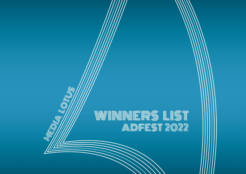# WINNNERS LIST<br>Adfest 2022

**LOTUS**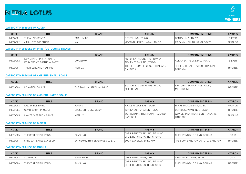# MEDIA LOTUS



#### **CATEGORY ME02: USE OF AUDIO**

| CODE     | <b>TITLE</b>              | <b>BRAND</b>      | <b>AGENCY</b>              | <b>COMPANY ENTERING</b>    | AWARDS   |
|----------|---------------------------|-------------------|----------------------------|----------------------------|----------|
| ME02/001 | THE AUDIO-BENTO           | <b>TABILUMINE</b> | DENTSU INC., TOKYO         | DENTSU INC., TOKYO         | SILVER   |
| ME02/002 | <b>6 MINUTES TOGETHER</b> | N/a               | MCCANN HEALTH JAPAN, TOKYO | MCCANN HEALTH JAPAN, TOKYO | FINALIST |

#### **CATEGORY ME03: USE OF PRINT/OUTDOOR & TRANSIT**

| CODE     | TITLE                                                 | <b>BRAND</b>    | <b>AGENCY</b>                                             | <b>COMPANY ENTERING</b>                           | AWARDS        |
|----------|-------------------------------------------------------|-----------------|-----------------------------------------------------------|---------------------------------------------------|---------------|
| ME03/002 | INEWSPAPER INVITATION TO<br>DORAEMON'S BIRTHDAY PARTY | <b>DORAEMON</b> | ADK CREATIVE ONE INC., TOKYO/<br>ADK EMOTIONS INC., TOKYO | LADK CREATIVE ONE INC., TOKYO                     | <b>SILVER</b> |
| ME03/007 | THE BILLBOARD REMAINS                                 | <b>NETFLIX</b>  | THE LEO BURNETT GROUP THAILAND.<br>BANGKOK                | THE LEO BURNETT GROUP THAILAND.<br><b>BANGKOK</b> | <b>BRONZE</b> |

#### **CATEGORY ME04: USE OF AMBIENT: SMALL SCALE**

| CODE     | <b>TITLE</b>           | <b>BRAND</b>            | <b>AGENCY</b>                | <b>COMPANY ENTERING</b>       | <b>AWARDS</b> |
|----------|------------------------|-------------------------|------------------------------|-------------------------------|---------------|
| 1E04/006 | <b>DONATION DOLLAR</b> | : ROYAL AUSTRALIAN MINT | SAATCHI & SAATCHI AUSTRALIA. | ISAATCHI & SAATCHI AUSTRALIA. | <b>BRONZE</b> |
|          |                        |                         | ELBOURNE                     | MELBOURNE                     |               |

# **CATEGORY ME05: USE OF AMBIENT: LARGE SCALE**

| CODE     | TITLE                       | <b>BRAND</b>           | <b>AGENCY</b>                                  | <b>COMPANY ENTERING</b>                        | <b>AWARDS</b>   |
|----------|-----------------------------|------------------------|------------------------------------------------|------------------------------------------------|-----------------|
| ME05/002 | LIQUID BILLBOARD            | <b>ADIDAS</b>          | HAVAS MIDDLE EAST, DUBAI                       | HAVAS MIDDLE EAST, DUBAI                       | GRANDE          |
| ME05/004 | <b>GIANT 3D CAT PROJECT</b> | ICROSS SHINJUKU VISION | YUNIKA CORPORATION, TOKYO                      | OMNIBUS JAPAN INC., TOKYO                      | BRONZE          |
| ME05/005 | LIGHTBOXES FROM SPACE       | <b>NETFLIX</b>         | WUNDERMAN THOMPSON THAILAND.<br><b>BANGKOK</b> | WUNDERMAN THOMPSON THAILAND.<br><b>BANGKOK</b> | <b>FINALIST</b> |

# **CATEGORY ME08: USE OF DIGITAL**

| CODE     | <b>TITLE</b>                 | <b>BRAND</b>                      | <b>AGENCY</b>                                                 | COMPANY ENTERING                    | <b>AWARDS</b> |
|----------|------------------------------|-----------------------------------|---------------------------------------------------------------|-------------------------------------|---------------|
| ME08/005 | <b>ITHE COST OF BULLYING</b> | <b>SAMSUNG</b>                    | CHEIL PENGTAI BEIJING, BEIJING/<br>CHEIL HONG KONG, HONG KONG | CHEIL PENGTAI BEIJING, BEIJING      | GOLD          |
| ME08/004 | <b>SANGSOM SAVES SANGSOM</b> | SANGSOM / THAI BEVERAGE CO., LTD. | <b>SOUR BANGKOK, BANGKOK</b>                                  | THE SOUR BANGKOK CO., LTD., BANGKOK | BRONZE        |

# **CATEGORY ME09: USE OF MOBILE**

| CODE     | <b>TITLE</b>          | <b>BRAND</b>     | AGENCY                          | <b>COMPANY ENTERING</b>        | <b>AWARDS</b> |
|----------|-----------------------|------------------|---------------------------------|--------------------------------|---------------|
| ME09/002 | <b>SLOW ROAD</b>      | <b>SLOW ROAD</b> | CHEIL WORLDWIDE, SEOUL          | ICHEIL WORLDWIDE, SEOUL        | GOLD          |
| ME09/006 | ITHE COST OF BULLYING | SAMSUNG          | CHEIL PENGTAI BEIJING, BEIJING/ | CHEIL PENGTAI BEIJING, BEIJING | <b>BRONZE</b> |
|          |                       |                  | L HONG KONG. HONG KONG<br>CHEIL |                                |               |